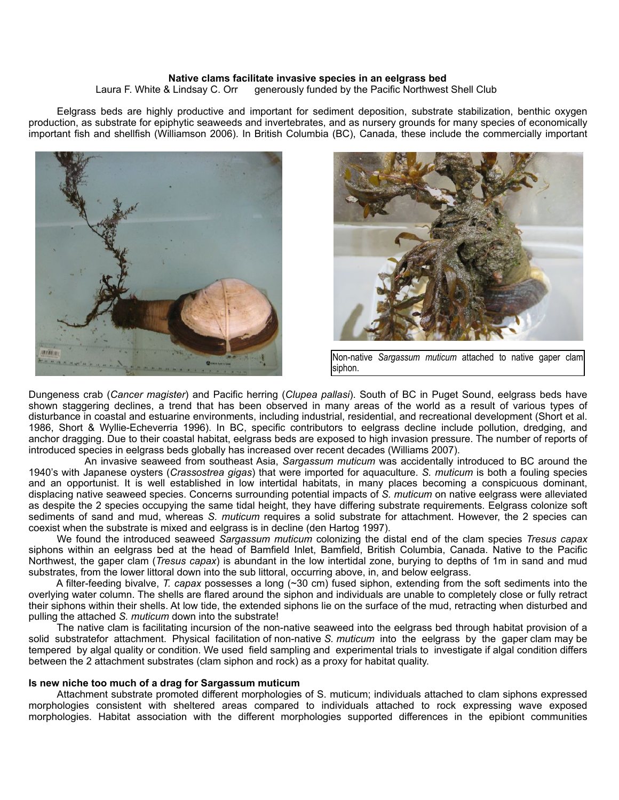## **Native clams facilitate invasive species in an eelgrass bed**

Laura F. White & Lindsay C. Orr generously funded by the Pacific Northwest Shell Club

 Eelgrass beds are highly productive and important for sediment deposition, substrate stabilization, benthic oxygen production, as substrate for epiphytic seaweeds and invertebrates, and as nursery grounds for many species of economically important fish and shellfish (Williamson 2006). In British Columbia (BC), Canada, these include the commercially important





Non-native *Sargassum muticum* attached to native gaper clam siphon.

Dungeness crab (*Cancer magister*) and Pacific herring (*Clupea pallasi*). South of BC in Puget Sound, eelgrass beds have shown staggering declines, a trend that has been observed in many areas of the world as a result of various types of disturbance in coastal and estuarine environments, including industrial, residential, and recreational development (Short et al. 1986, Short & Wyllie-Echeverria 1996). In BC, specific contributors to eelgrass decline include pollution, dredging, and anchor dragging. Due to their coastal habitat, eelgrass beds are exposed to high invasion pressure. The number of reports of introduced species in eelgrass beds globally has increased over recent decades (Williams 2007).

 An invasive seaweed from southeast Asia, *Sargassum muticum* was accidentally introduced to BC around the 1940's with Japanese oysters (*Crassostrea gigas*) that were imported for aquaculture. *S. muticum* is both a fouling species and an opportunist. It is well established in low intertidal habitats, in many places becoming a conspicuous dominant, displacing native seaweed species. Concerns surrounding potential impacts of *S. muticum* on native eelgrass were alleviated as despite the 2 species occupying the same tidal height, they have differing substrate requirements. Eelgrass colonize soft sediments of sand and mud, whereas *S. muticum* requires a solid substrate for attachment. However, the 2 species can coexist when the substrate is mixed and eelgrass is in decline (den Hartog 1997).

 We found the introduced seaweed *Sargassum muticum* colonizing the distal end of the clam species *Tresus capax* siphons within an eelgrass bed at the head of Bamfield Inlet, Bamfield, British Columbia, Canada. Native to the Pacific Northwest, the gaper clam (*Tresus capax*) is abundant in the low intertidal zone, burying to depths of 1m in sand and mud substrates, from the lower littoral down into the sub littoral, occurring above, in, and below eelgrass.

 A filter-feeding bivalve, *T. capax* possesses a long (~30 cm) fused siphon, extending from the soft sediments into the overlying water column. The shells are flared around the siphon and individuals are unable to completely close or fully retract their siphons within their shells. At low tide, the extended siphons lie on the surface of the mud, retracting when disturbed and pulling the attached *S. muticum* down into the substrate!

 The native clam is facilitating incursion of the non-native seaweed into the eelgrass bed through habitat provision of a solid substratefor attachment. Physical facilitation of non-native *S. muticum* into the eelgrass by the gaper clam may be tempered by algal quality or condition. We used field sampling and experimental trials to investigate if algal condition differs between the 2 attachment substrates (clam siphon and rock) as a proxy for habitat quality.

## **Is new niche too much of a drag for Sargassum muticum**

Attachment substrate promoted different morphologies of S. muticum; individuals attached to clam siphons expressed morphologies consistent with sheltered areas compared to individuals attached to rock expressing wave exposed morphologies. Habitat association with the different morphologies supported differences in the epibiont communities